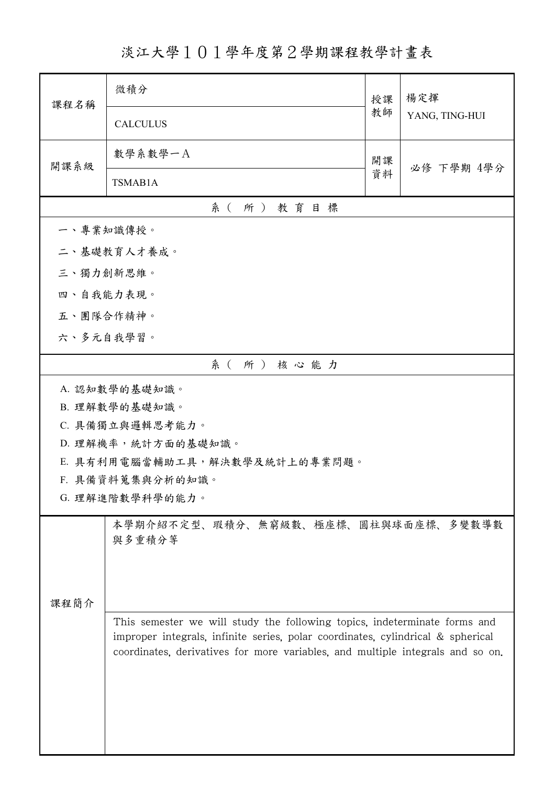淡江大學101學年度第2學期課程教學計畫表

| 課程名稱                                              | 微積分                                                                             | 授課<br>教師 | 楊定揮            |  |
|---------------------------------------------------|---------------------------------------------------------------------------------|----------|----------------|--|
|                                                   | <b>CALCULUS</b>                                                                 |          | YANG, TING-HUI |  |
| 開課系級                                              | 數學系數學一A                                                                         | 開課<br>資料 | 必修 下學期 4學分     |  |
|                                                   | TSMAB1A                                                                         |          |                |  |
| 系(所)教育目標                                          |                                                                                 |          |                |  |
| 一、專業知識傳授。                                         |                                                                                 |          |                |  |
| 二、基礎教育人才養成。                                       |                                                                                 |          |                |  |
| 三、獨力創新思維。                                         |                                                                                 |          |                |  |
| 四、自我能力表現。                                         |                                                                                 |          |                |  |
| 五、團隊合作精神。                                         |                                                                                 |          |                |  |
| 六、多元自我學習。                                         |                                                                                 |          |                |  |
|                                                   | 系(所)核心能力                                                                        |          |                |  |
| A. 認知數學的基礎知識。                                     |                                                                                 |          |                |  |
|                                                   | B. 理解數學的基礎知識。                                                                   |          |                |  |
| C. 具備獨立與邏輯思考能力。                                   |                                                                                 |          |                |  |
| D. 理解機率,統計方面的基礎知識。                                |                                                                                 |          |                |  |
| E. 具有利用電腦當輔助工具,解決數學及統計上的專業問題。<br>F. 具備資料蒐集與分析的知識。 |                                                                                 |          |                |  |
|                                                   | G. 理解進階數學科學的能力。                                                                 |          |                |  |
|                                                   |                                                                                 |          |                |  |
|                                                   | 本學期介紹不定型、瑕積分、無窮級數、極座標、圓柱與球面座標、多變數導數<br>與多重積分等                                   |          |                |  |
|                                                   |                                                                                 |          |                |  |
|                                                   |                                                                                 |          |                |  |
| 課程簡介                                              |                                                                                 |          |                |  |
|                                                   | This semester we will study the following topics, indeterminate forms and       |          |                |  |
|                                                   | improper integrals, infinite series, polar coordinates, cylindrical & spherical |          |                |  |
|                                                   | coordinates, derivatives for more variables, and multiple integrals and so on.  |          |                |  |
|                                                   |                                                                                 |          |                |  |
|                                                   |                                                                                 |          |                |  |
|                                                   |                                                                                 |          |                |  |
|                                                   |                                                                                 |          |                |  |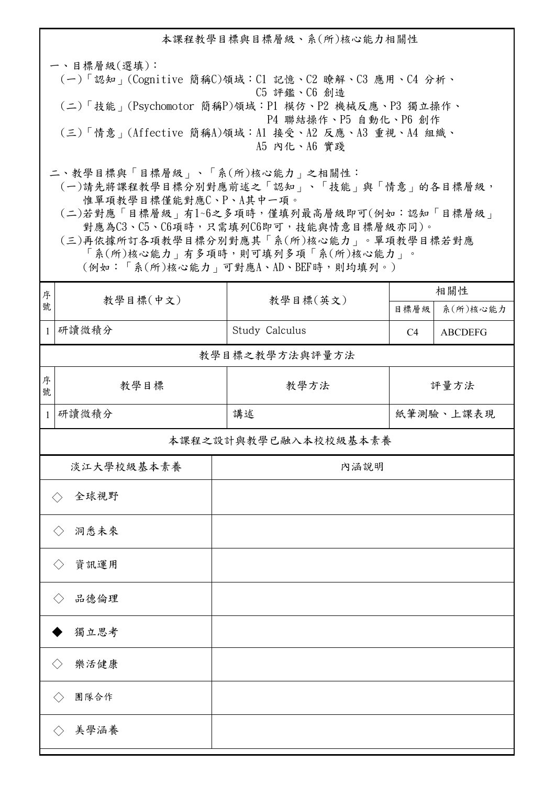本課程教學目標與目標層級、系(所)核心能力相關性 一、目標層級(選填): (一)「認知」(Cognitive 簡稱C)領域:C1 記憶、C2 瞭解、C3 應用、C4 分析、 C5 評鑑、C6 創造 (二)「技能」(Psychomotor 簡稱P)領域:P1 模仿、P2 機械反應、P3 獨立操作、 P4 聯結操作、P5 自動化、P6 創作 (三)「情意」(Affective 簡稱A)領域:A1 接受、A2 反應、A3 重視、A4 組織、 A5 內化、A6 實踐 二、教學目標與「目標層級」、「系(所)核心能力」之相關性: (一)請先將課程教學目標分別對應前述之「認知」、「技能」與「情意」的各目標層級, 惟單項教學目標僅能對應C、P、A其中一項。 (二)若對應「目標層級」有1~6之多項時,僅填列最高層級即可(例如:認知「目標層級」 對應為C3、C5、C6項時,只需填列C6即可,技能與情意目標層級亦同)。 (三)再依據所訂各項教學目標分別對應其「系(所)核心能力」。單項教學目標若對應 「系(所)核心能力」有多項時,則可填列多項「系(所)核心能力」。 (例如:「系(所)核心能力」可對應A、AD、BEF時,則均填列。) <sup>分</sup> | 教學目標(中文) | 教學目標(英文) <sup>序</sup> 相關性 目標層級 系(所)核心能力 1 研讀微積分 | Study Calculus | C4 | ABCDEFG 序 お楽 教學目標 あいしゃ お 教學方法 號 教學目標之教學方法與評量方法 評量方法 1 研讀微積分 講述 紙筆測驗、上課表現 全球視野 ◇ 本課程之設計與教學已融入本校校級基本素養 淡江大學校級基本素養 | わけのある 内涵説明 洞悉未來 ◇ 資訊運用 ◇ 品德倫理 ◇

◆ 獨立思考 樂活健康 ◇ ◇ 團隊合作 美學涵養 ◇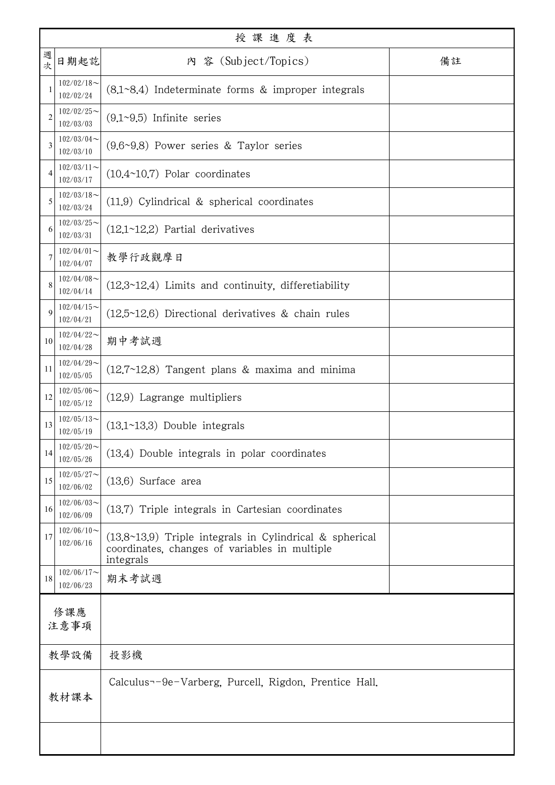|                | 授課進度表                         |                                                                                                                         |    |  |  |
|----------------|-------------------------------|-------------------------------------------------------------------------------------------------------------------------|----|--|--|
| 週<br>次         | 日期起訖                          | 內 容 (Subject/Topics)                                                                                                    | 備註 |  |  |
| -1             | $102/02/18$ ~<br>102/02/24    | $(8.1 \text{--} 8.4)$ Indeterminate forms & improper integrals                                                          |    |  |  |
| $\overline{2}$ | $102/02/25$ ~<br>102/03/03    | $(9.1~9.5)$ Infinite series                                                                                             |    |  |  |
| 3              | $102/03/04$ ~<br>102/03/10    | $(9.6~9.8)$ Power series & Taylor series                                                                                |    |  |  |
| 4              | $102/03/11$ ~<br>102/03/17    | $(10.4~10.7)$ Polar coordinates                                                                                         |    |  |  |
| 5              | $102/03/18$ ~<br>102/03/24    | $(11.9)$ Cylindrical & spherical coordinates                                                                            |    |  |  |
| 6              | $102/03/25$ ~<br>102/03/31    | $(12.1~12.2)$ Partial derivatives                                                                                       |    |  |  |
| 7              | $102/04/01$ ~<br>102/04/07    | 教學行政觀摩日                                                                                                                 |    |  |  |
| 8              | $102/04/08$ ~<br>102/04/14    | $(12.3~12.4)$ Limits and continuity, differetiability                                                                   |    |  |  |
| 9              | $102/04/15$ ~<br>102/04/21    | $(12.5~12.6)$ Directional derivatives & chain rules                                                                     |    |  |  |
| 10             | $102/04/22$ ~<br>102/04/28    | 期中考試週                                                                                                                   |    |  |  |
| 11             | $102/04/29$ ~<br>102/05/05    | $(12.7~12.8)$ Tangent plans & maxima and minima                                                                         |    |  |  |
| 12             | $102/05/06 \sim$<br>102/05/12 | (12.9) Lagrange multipliers                                                                                             |    |  |  |
| 13             | $102/05/13$ ~<br>102/05/19    | $(13.1~13.3)$ Double integrals                                                                                          |    |  |  |
| 14             | $102/05/20$ ~<br>102/05/26    | (13.4) Double integrals in polar coordinates                                                                            |    |  |  |
| 15             | $102/05/27$ ~<br>102/06/02    | $(13.6)$ Surface area                                                                                                   |    |  |  |
| 16             | $102/06/03$ ~<br>102/06/09    | (13.7) Triple integrals in Cartesian coordinates                                                                        |    |  |  |
| 17             | $102/06/10$ ~<br>102/06/16    | $(13.8~13.9)$ Triple integrals in Cylindrical & spherical<br>coordinates, changes of variables in multiple<br>integrals |    |  |  |
| 18             | $102/06/17$ ~<br>102/06/23    | 期末考試週                                                                                                                   |    |  |  |
| 修課應<br>注意事項    |                               |                                                                                                                         |    |  |  |
|                | 教學設備                          | 投影機                                                                                                                     |    |  |  |
|                | 教材課本                          | Calculus--9e-Varberg, Purcell, Rigdon, Prentice Hall.                                                                   |    |  |  |
|                |                               |                                                                                                                         |    |  |  |